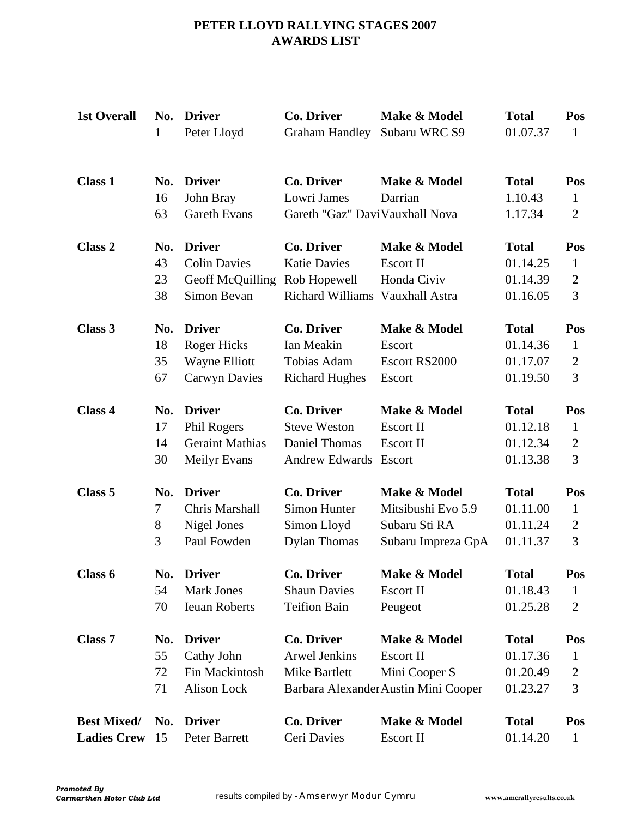# **PETER LLOYD RALLYING STAGES 2007 AWARDS LIST**

| <b>1st Overall</b> | No.<br>$\mathbf{1}$ | <b>Driver</b><br>Peter Lloyd                      | <b>Co. Driver</b><br><b>Graham Handley</b>                   | Make & Model<br>Subaru WRC S9        | <b>Total</b><br>01.07.37           | Pos<br>$\mathbf{1}$                   |
|--------------------|---------------------|---------------------------------------------------|--------------------------------------------------------------|--------------------------------------|------------------------------------|---------------------------------------|
| <b>Class 1</b>     | No.<br>16<br>63     | <b>Driver</b><br>John Bray<br><b>Gareth Evans</b> | Co. Driver<br>Lowri James<br>Gareth "Gaz" Davi Vauxhall Nova | Make & Model<br>Darrian              | <b>Total</b><br>1.10.43<br>1.17.34 | Pos<br>$\mathbf{1}$<br>$\overline{2}$ |
|                    |                     |                                                   |                                                              |                                      |                                    |                                       |
| Class 2            | No.                 | <b>Driver</b>                                     | <b>Co. Driver</b>                                            | Make & Model                         | <b>Total</b>                       | Pos                                   |
|                    | 43                  | <b>Colin Davies</b>                               | <b>Katie Davies</b>                                          | <b>Escort II</b>                     | 01.14.25                           | $\mathbf{1}$                          |
|                    | 23                  | Geoff McQuilling                                  | Rob Hopewell                                                 | Honda Civiv                          | 01.14.39                           | $\overline{2}$                        |
|                    | 38                  | Simon Bevan                                       | Richard Williams Vauxhall Astra                              |                                      | 01.16.05                           | 3                                     |
| Class 3            | No.                 | <b>Driver</b>                                     | <b>Co. Driver</b>                                            | Make & Model                         | <b>Total</b>                       | Pos                                   |
|                    | 18                  | Roger Hicks                                       | Ian Meakin                                                   | Escort                               | 01.14.36                           | $\mathbf{1}$                          |
|                    | 35                  | Wayne Elliott                                     | Tobias Adam                                                  | Escort RS2000                        | 01.17.07                           | $\overline{2}$                        |
|                    | 67                  | <b>Carwyn Davies</b>                              | <b>Richard Hughes</b>                                        | Escort                               | 01.19.50                           | 3                                     |
| Class 4            | No.                 | <b>Driver</b>                                     | Co. Driver                                                   | Make & Model                         | <b>Total</b>                       | Pos                                   |
|                    | 17                  | Phil Rogers                                       | <b>Steve Weston</b>                                          | <b>Escort II</b>                     | 01.12.18                           | $\mathbf{1}$                          |
|                    | 14                  | <b>Geraint Mathias</b>                            | <b>Daniel Thomas</b>                                         | <b>Escort II</b>                     | 01.12.34                           | $\overline{2}$                        |
|                    | 30                  | <b>Meilyr Evans</b>                               | <b>Andrew Edwards</b>                                        | Escort                               | 01.13.38                           | 3                                     |
| Class 5            | No.                 | <b>Driver</b>                                     | Co. Driver                                                   | Make & Model                         | <b>Total</b>                       | Pos                                   |
|                    | 7                   | Chris Marshall                                    | <b>Simon Hunter</b>                                          | Mitsibushi Evo 5.9                   | 01.11.00                           | $\mathbf{1}$                          |
|                    | $8\,$               | Nigel Jones                                       | Simon Lloyd                                                  | Subaru Sti RA                        | 01.11.24                           | $\overline{2}$                        |
|                    | 3                   | Paul Fowden                                       | <b>Dylan Thomas</b>                                          | Subaru Impreza GpA                   | 01.11.37                           | 3                                     |
| Class 6            | No.                 | <b>Driver</b>                                     | Co. Driver                                                   | Make & Model                         | <b>Total</b>                       | Pos                                   |
|                    | 54                  | <b>Mark Jones</b>                                 | <b>Shaun Davies</b>                                          | Escort II                            | 01.18.43                           | $\mathbf{1}$                          |
|                    | 70                  | <b>Ieuan Roberts</b>                              | <b>Teifion Bain</b>                                          | Peugeot                              | 01.25.28                           | 2                                     |
| Class <sub>7</sub> | No.                 | <b>Driver</b>                                     | Co. Driver                                                   | Make & Model                         | <b>Total</b>                       | Pos                                   |
|                    | 55                  | Cathy John                                        | <b>Arwel Jenkins</b>                                         | Escort II                            | 01.17.36                           | 1                                     |
|                    | 72                  | Fin Mackintosh                                    | Mike Bartlett                                                | Mini Cooper S                        | 01.20.49                           | 2                                     |
|                    | 71                  | Alison Lock                                       |                                                              | Barbara Alexander Austin Mini Cooper | 01.23.27                           | 3                                     |
| <b>Best Mixed/</b> | No.                 | <b>Driver</b>                                     | <b>Co. Driver</b>                                            | Make & Model                         | <b>Total</b>                       | Pos                                   |
| <b>Ladies Crew</b> | 15                  | Peter Barrett                                     | Ceri Davies                                                  | Escort II                            | 01.14.20                           | $\mathbf{1}$                          |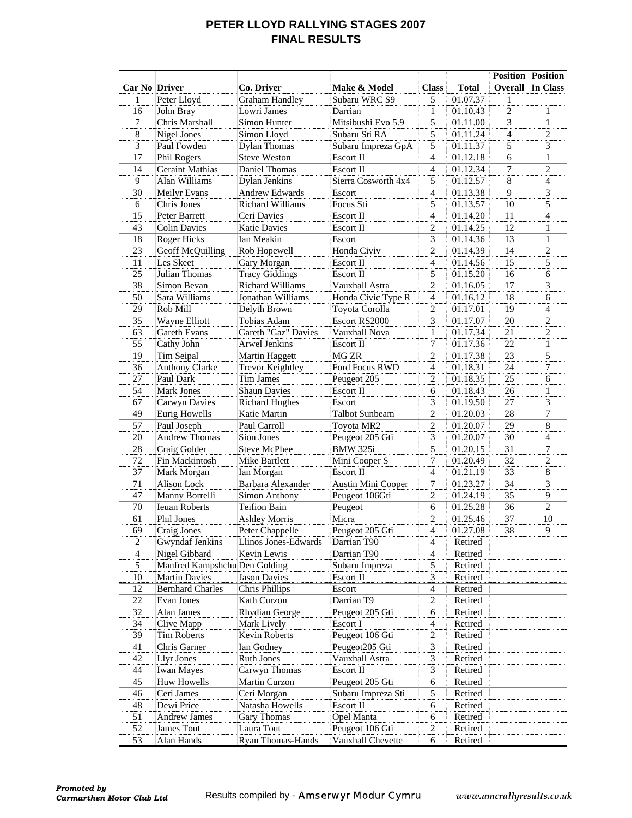### **PETER LLOYD RALLYING STAGES 2007 FINAL RESULTS**

|                      |                               |                          |                       |                         |              |                | <b>Position</b> Position |
|----------------------|-------------------------------|--------------------------|-----------------------|-------------------------|--------------|----------------|--------------------------|
| <b>Car No Driver</b> |                               | Co. Driver               | Make & Model          | <b>Class</b>            | <b>Total</b> | Overall        | In Class                 |
| 1                    | Peter Lloyd                   | <b>Graham Handley</b>    | Subaru WRC S9         | 5                       | 01.07.37     | 1              |                          |
| 16                   | John Bray                     | Lowri James              | Darrian               | 1                       | 01.10.43     | $\sqrt{2}$     | 1                        |
| $\tau$               | Chris Marshall                | Simon Hunter             | Mitsibushi Evo 5.9    | 5                       | 01.11.00     | 3              | $\mathbf{1}$             |
| $\overline{8}$       | Nigel Jones                   | Simon Lloyd              | Subaru Sti RA         | 5                       | 01.11.24     | $\overline{4}$ | $\overline{2}$           |
| $\overline{3}$       | Paul Fowden                   | <b>Dylan Thomas</b>      | Subaru Impreza GpA    | 5                       | 01.11.37     | 5              | $\overline{3}$           |
| 17                   | Phil Rogers                   | <b>Steve Weston</b>      | Escort II             | $\overline{4}$          | 01.12.18     | 6              | $\mathbf{1}$             |
| 14                   | <b>Geraint Mathias</b>        | Daniel Thomas            | Escort II             | $\overline{4}$          | 01.12.34     | $\tau$         | $\overline{2}$           |
| 9                    | Alan Williams                 | Dylan Jenkins            | Sierra Cosworth 4x4   | 5                       | 01.12.57     | $\,8\,$        | $\overline{\mathbf{4}}$  |
| 30                   | Meilyr Evans                  | <b>Andrew Edwards</b>    | Escort                | $\overline{4}$          | 01.13.38     | 9              | 3                        |
| 6                    | Chris Jones                   | Richard Williams         | Focus Sti             | 5                       | 01.13.57     | 10             | $\overline{5}$           |
| 15                   | Peter Barrett                 | Ceri Davies              | Escort II             | $\overline{4}$          | 01.14.20     | 11             | $\overline{4}$           |
| 43                   | <b>Colin Davies</b>           | <b>Katie Davies</b>      | Escort II             | $\overline{c}$          | 01.14.25     | 12             | $\mathbf{1}$             |
| 18                   | Roger Hicks                   | Ian Meakin               | Escort                | 3                       | 01.14.36     | 13             | $\mathbf{1}$             |
| 23                   | Geoff McQuilling              | Rob Hopewell             | Honda Civiv           | $\overline{c}$          | 01.14.39     | 14             | $\overline{c}$           |
| 11                   | Les Skeet                     | Gary Morgan              | Escort II             | $\overline{4}$          | 01.14.56     | 15             | 5                        |
| 25                   | Julian Thomas                 | <b>Tracy Giddings</b>    | Escort II             | 5                       | 01.15.20     | 16             | 6                        |
| 38                   | Simon Bevan                   | <b>Richard Williams</b>  | Vauxhall Astra        | 2                       | 01.16.05     | 17             | 3                        |
| 50                   | Sara Williams                 | Jonathan Williams        | Honda Civic Type R    | 4                       | 01.16.12     | 18             | $\sqrt{6}$               |
| 29                   | Rob Mill                      | Delyth Brown             | Toyota Corolla        | $\overline{c}$          | 01.17.01     | 19             | $\overline{4}$           |
| 35                   | Wayne Elliott                 | Tobias Adam              | Escort RS2000         | 3                       | 01.17.07     | 20             | $\overline{c}$           |
| 63                   | Gareth Evans                  | Gareth "Gaz" Davies      | Vauxhall Nova         | $\mathbf{1}$            | 01.17.34     | 21             | $\overline{c}$           |
| 55                   | Cathy John                    | Arwel Jenkins            | Escort II             | $\overline{7}$          | 01.17.36     | 22             | $\mathbf{1}$             |
| 19                   | Tim Seipal                    | Martin Haggett           | MG ZR                 | $\mathbf{2}$            | 01.17.38     | 23             | 5                        |
| 36                   | Anthony Clarke                | <b>Trevor Keightley</b>  | Ford Focus RWD        | $\overline{4}$          | 01.18.31     | 24             | $\tau$                   |
| 27                   | Paul Dark                     | Tim James                | Peugeot 205           | 2                       | 01.18.35     | 25             | 6                        |
| 54                   | Mark Jones                    | <b>Shaun Davies</b>      | Escort II             | 6                       | 01.18.43     | 26             | 1                        |
| 67                   | Carwyn Davies                 | <b>Richard Hughes</b>    | Escort                | 3                       | 01.19.50     | 27             | $\overline{3}$           |
| 49                   | Eurig Howells                 | Katie Martin             | <b>Talbot Sunbeam</b> | $\overline{2}$          | 01.20.03     | 28             | $\overline{7}$           |
| $\overline{57}$      | Paul Joseph                   | Paul Carroll             | Toyota MR2            | $\overline{2}$          | 01.20.07     | 29             | $\overline{8}$           |
| 20                   | <b>Andrew Thomas</b>          | Sion Jones               | Peugeot 205 Gti       | 3                       | 01.20.07     | 30             | $\overline{4}$           |
| 28                   | Craig Golder                  | <b>Steve McPhee</b>      | <b>BMW 325i</b>       | 5                       | 01.20.15     | 31             | 7                        |
| 72                   | Fin Mackintosh                | Mike Bartlett            | Mini Cooper S         | 7                       | 01.20.49     | 32             | $\overline{2}$           |
| 37                   | Mark Morgan                   | Ian Morgan               | Escort II             | $\overline{4}$          | 01.21.19     | 33             | 8                        |
| 71                   | <b>Alison Lock</b>            | <b>Barbara Alexander</b> | Austin Mini Cooper    | 7                       | 01.23.27     | 34             | 3                        |
| 47                   | Manny Borrelli                | <b>Simon Anthony</b>     | Peugeot 106Gti        | $\mathbf{2}$            | 01.24.19     | 35             | 9                        |
| 70                   | <b>Ieuan Roberts</b>          | <b>Teifion Bain</b>      | Peugeot               | 6                       | 01.25.28     | 36             | $\overline{2}$           |
| 61                   | Phil Jones                    | <b>Ashley Morris</b>     | Micra                 | $\overline{c}$          | 01.25.46     | 37             | 10                       |
| 69                   | Craig Jones                   | Peter Chappelle          | Peugeot 205 Gti       | $\overline{4}$          | 01.27.08     | 38             | 9                        |
| $\overline{c}$       | <b>Gwyndaf Jenkins</b>        | Llinos Jones-Edwards     | Darrian T90           | $\overline{4}$          | Retired      |                |                          |
| 4                    | Nigel Gibbard                 | Kevin Lewis              | Darrian T90           | 4                       | Retired      |                |                          |
| 5                    | Manfred Kampshchu Den Golding |                          | Subaru Impreza        | 5                       | Retired      |                |                          |
| 10                   | <b>Martin Davies</b>          | <b>Jason Davies</b>      | Escort II             | 3                       | Retired      |                |                          |
| 12                   | <b>Bernhard Charles</b>       | Chris Phillips           | Escort                | $\overline{\mathbf{4}}$ | Retired      |                |                          |
| 22                   | Evan Jones                    | Kath Curzon              | Darrian T9            | $\mathbf{2}$            | Retired      |                |                          |
| 32                   | Alan James                    | Rhydian George           | Peugeot 205 Gti       | 6                       | Retired      |                |                          |
| 34                   | Clive Mapp                    | Mark Lively              | Escort I              | $\overline{\mathbf{4}}$ | Retired      |                |                          |
| 39                   | <b>Tim Roberts</b>            | Kevin Roberts            | Peugeot 106 Gti       | $\sqrt{2}$              | Retired      |                |                          |
| 41                   | Chris Garner                  | Ian Godney               | Peugeot205 Gti        | 3                       | Retired      |                |                          |
| 42                   | Llyr Jones                    | Ruth Jones               | Vauxhall Astra        | 3                       | Retired      |                |                          |
| 44                   | <b>Iwan Mayes</b>             | Carwyn Thomas            | Escort II             | 3                       | Retired      |                |                          |
| 45                   | Huw Howells                   | Martin Curzon            | Peugeot 205 Gti       | 6                       | Retired      |                |                          |
| 46                   | Ceri James                    | Ceri Morgan              | Subaru Impreza Sti    | 5                       | Retired      |                |                          |
| 48                   | Dewi Price                    | Natasha Howells          | Escort II             | $\epsilon$              | Retired      |                |                          |
| 51                   | <b>Andrew James</b>           | <b>Gary Thomas</b>       | Opel Manta            | 6                       | Retired      |                |                          |
| 52                   | James Tout                    | Laura Tout               | Peugeot 106 Gti       | $\sqrt{2}$              | Retired      |                |                          |
| 53                   | Alan Hands                    | Ryan Thomas-Hands        | Vauxhall Chevette     | 6                       | Retired      |                |                          |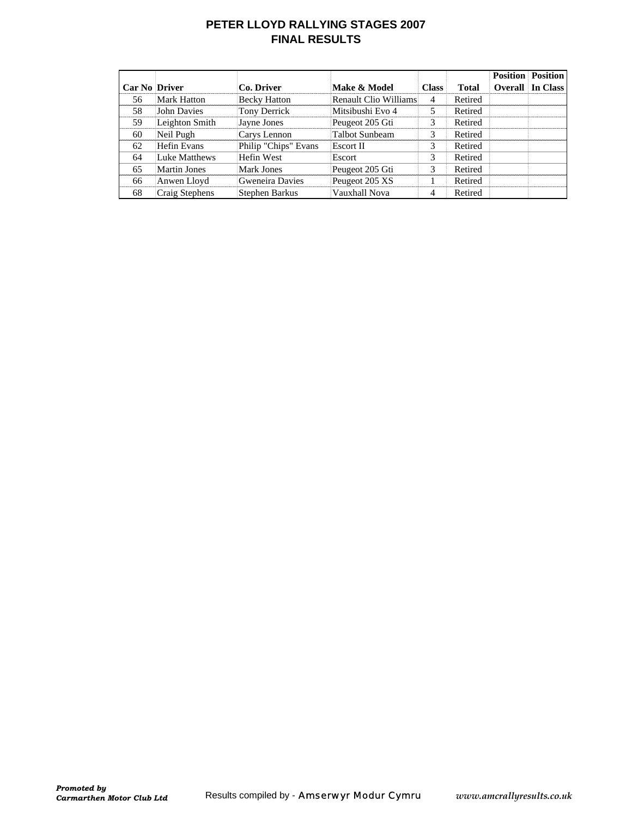### **PETER LLOYD RALLYING STAGES 2007 FINAL RESULTS**

| <b>Car No Driver</b> |                     | Co. Driver           | Make & Model          | <b>Class</b> | <b>Total</b> | <b>Position</b><br>Overall | <b>Position</b><br>In Class |
|----------------------|---------------------|----------------------|-----------------------|--------------|--------------|----------------------------|-----------------------------|
| 56                   | <b>Mark Hatton</b>  | <b>Becky Hatton</b>  | Renault Clio Williams | 4            | Retired      |                            |                             |
| 58                   | John Davies         | Tony Derrick         | Mitsibushi Evo 4      | 5            | Retired      |                            |                             |
| 59                   | Leighton Smith      | Jayne Jones          | Peugeot 205 Gti       | 3            | Retired      |                            |                             |
| 60                   | Neil Pugh           | Carys Lennon         | <b>Talbot Sunbeam</b> | 3            | Retired      |                            |                             |
| 62                   | Hefin Evans         | Philip "Chips" Evans | Escort II             | 3            | Retired      |                            |                             |
| 64                   | Luke Matthews       | Hefin West           | Escort                | 3            | Retired      |                            |                             |
| 65                   | <b>Martin Jones</b> | <b>Mark Jones</b>    | Peugeot 205 Gti       | 3            | Retired      |                            |                             |
| 66                   | Anwen Lloyd         | Gweneira Davies      | Peugeot 205 XS        |              | Retired      |                            |                             |
| 68                   | Craig Stephens      | Stephen Barkus       | Vauxhall Nova         | 4            | Retired      |                            |                             |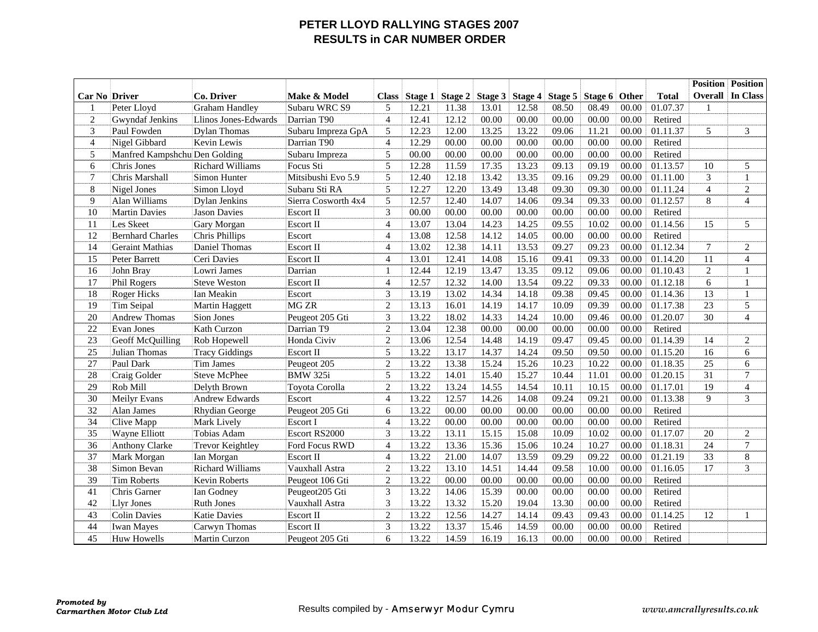### **PETER LLOYD RALLYING STAGES 2007 RESULTS in CAR NUMBER ORDER**

|                      |                               |                         |                     |                |                |         |         |         |       |                 |       |              | <b>Position</b> | <b>Position</b>  |
|----------------------|-------------------------------|-------------------------|---------------------|----------------|----------------|---------|---------|---------|-------|-----------------|-------|--------------|-----------------|------------------|
| <b>Car No Driver</b> |                               | Co. Driver              | Make & Model        | <b>Class</b>   | <b>Stage 1</b> | Stage 2 | Stage 3 | Stage 4 |       | Stage 5 Stage 6 | Other | <b>Total</b> | Overall         | In Class         |
| 1                    | Peter Lloyd                   | <b>Graham Handley</b>   | Subaru WRC S9       | 5              | 12.21          | 11.38   | 13.01   | 12.58   | 08.50 | 08.49           | 00.00 | 01.07.37     | 1               |                  |
| $\overline{c}$       | Gwyndaf Jenkins               | Llinos Jones-Edwards    | Darrian T90         | $\overline{4}$ | 12.41          | 12.12   | 00.00   | 00.00   | 00.00 | 00.00           | 00.00 | Retired      |                 |                  |
| 3                    | Paul Fowden                   | <b>Dylan Thomas</b>     | Subaru Impreza GpA  | 5              | 12.23          | 12.00   | 13.25   | 13.22   | 09.06 | 11.21           | 00.00 | 01.11.37     | 5               | 3                |
| $\overline{4}$       | Nigel Gibbard                 | Kevin Lewis             | Darrian T90         | $\overline{4}$ | 12.29          | 00.00   | 00.00   | 00.00   | 00.00 | 00.00           | 00.00 | Retired      |                 |                  |
| 5                    | Manfred Kampshchu Den Golding |                         | Subaru Impreza      | 5              | 00.00          | 00.00   | 00.00   | 00.00   | 00.00 | 00.00           | 00.00 | Retired      |                 |                  |
| 6                    | Chris Jones                   | <b>Richard Williams</b> | Focus Sti           | $\overline{5}$ | 12.28          | 11.59   | 17.35   | 13.23   | 09.13 | 09.19           | 00.00 | 01.13.57     | 10              | 5                |
| $\tau$               | Chris Marshall                | Simon Hunter            | Mitsibushi Evo 5.9  | 5              | 12.40          | 12.18   | 13.42   | 13.35   | 09.16 | 09.29           | 00.00 | 01.11.00     | 3               | $\mathbf{1}$     |
| $8\,$                | Nigel Jones                   | Simon Lloyd             | Subaru Sti RA       | 5              | 12.27          | 12.20   | 13.49   | 13.48   | 09.30 | 09.30           | 00.00 | 01.11.24     | $\overline{4}$  | $\overline{c}$   |
| 9                    | Alan Williams                 | <b>Dylan Jenkins</b>    | Sierra Cosworth 4x4 | 5              | 12.57          | 12.40   | 14.07   | 14.06   | 09.34 | 09.33           | 00.00 | 01.12.57     | 8               | $\overline{4}$   |
| 10                   | <b>Martin Davies</b>          | <b>Jason Davies</b>     | <b>Escort II</b>    | $\overline{3}$ | 00.00          | 00.00   | 00.00   | 00.00   | 00.00 | 00.00           | 00.00 | Retired      |                 |                  |
| 11                   | Les Skeet                     | Gary Morgan             | <b>Escort II</b>    | $\overline{4}$ | 13.07          | 13.04   | 14.23   | 14.25   | 09.55 | 10.02           | 00.00 | 01.14.56     | 15              | 5                |
| 12                   | <b>Bernhard Charles</b>       | Chris Phillips          | Escort              | $\overline{4}$ | 13.08          | 12.58   | 14.12   | 14.05   | 00.00 | 00.00           | 00.00 | Retired      |                 |                  |
| 14                   | <b>Geraint Mathias</b>        | Daniel Thomas           | <b>Escort II</b>    | $\overline{4}$ | 13.02          | 12.38   | 14.11   | 13.53   | 09.27 | 09.23           | 00.00 | 01.12.34     | 7               | $\sqrt{2}$       |
| 15                   | Peter Barrett                 | Ceri Davies             | Escort II           | $\overline{4}$ | 13.01          | 12.41   | 14.08   | 15.16   | 09.41 | 09.33           | 00.00 | 01.14.20     | 11              | $\overline{4}$   |
| 16                   | John Bray                     | Lowri James             | Darrian             | $\mathbf{1}$   | 12.44          | 12.19   | 13.47   | 13.35   | 09.12 | 09.06           | 00.00 | 01.10.43     | $\overline{2}$  | 1                |
| 17                   | Phil Rogers                   | <b>Steve Weston</b>     | Escort II           | $\overline{4}$ | 12.57          | 12.32   | 14.00   | 13.54   | 09.22 | 09.33           | 00.00 | 01.12.18     | $\sqrt{6}$      | $\mathbf 1$      |
| 18                   | Roger Hicks                   | Ian Meakin              | Escort              | $\overline{3}$ | 13.19          | 13.02   | 14.34   | 14.18   | 09.38 | 09.45           | 00.00 | 01.14.36     | 13              | $\mathbf{1}$     |
| 19                   | <b>Tim Seipal</b>             | Martin Haggett          | <b>MG ZR</b>        | $\overline{2}$ | 13.13          | 16.01   | 14.19   | 14.17   | 10.09 | 09.39           | 00.00 | 01.17.38     | $\overline{23}$ | 5                |
| 20                   | <b>Andrew Thomas</b>          | Sion Jones              | Peugeot 205 Gti     | 3              | 13.22          | 18.02   | 14.33   | 14.24   | 10.00 | 09.46           | 00.00 | 01.20.07     | 30              | $\overline{4}$   |
| 22                   | <b>Evan Jones</b>             | Kath Curzon             | Darrian T9          | 2              | 13.04          | 12.38   | 00.00   | 00.00   | 00.00 | 00.00           | 00.00 | Retired      |                 |                  |
| $\overline{23}$      | Geoff McQuilling              | Rob Hopewell            | Honda Civiv         | $\overline{2}$ | 13.06          | 12.54   | 14.48   | 14.19   | 09.47 | 09.45           | 00.00 | 01.14.39     | 14              | $\mathfrak{2}$   |
| 25                   | Julian Thomas                 | <b>Tracy Giddings</b>   | <b>Escort II</b>    | 5              | 13.22          | 13.17   | 14.37   | 14.24   | 09.50 | 09.50           | 00.00 | 01.15.20     | 16              | 6                |
| 27                   | Paul Dark                     | <b>Tim James</b>        | Peugeot 205         | $\overline{2}$ | 13.22          | 13.38   | 15.24   | 15.26   | 10.23 | 10.22           | 00.00 | 01.18.35     | $\overline{25}$ | 6                |
| 28                   | Craig Golder                  | <b>Steve McPhee</b>     | <b>BMW 325i</b>     | 5              | 13.22          | 14.01   | 15.40   | 15.27   | 10.44 | 11.01           | 00.00 | 01.20.15     | 31              | $\tau$           |
| 29                   | Rob Mill                      | Delyth Brown            | Toyota Corolla      | 2              | 13.22          | 13.24   | 14.55   | 14.54   | 10.11 | 10.15           | 00.00 | 01.17.01     | 19              | $\overline{4}$   |
| 30                   | Meilyr Evans                  | <b>Andrew Edwards</b>   | Escort              | $\overline{4}$ | 13.22          | 12.57   | 14.26   | 14.08   | 09.24 | 09.21           | 00.00 | 01.13.38     | 9               | 3                |
| 32                   | Alan James                    | Rhydian George          | Peugeot 205 Gti     | 6              | 13.22          | 00.00   | 00.00   | 00.00   | 00.00 | 00.00           | 00.00 | Retired      |                 |                  |
| 34                   | Clive Mapp                    | Mark Lively             | Escort I            | $\overline{4}$ | 13.22          | 00.00   | 00.00   | 00.00   | 00.00 | 00.00           | 00.00 | Retired      |                 |                  |
| 35                   | Wayne Elliott                 | Tobias Adam             | Escort RS2000       | 3              | 13.22          | 13.11   | 15.15   | 15.08   | 10.09 | 10.02           | 00.00 | 01.17.07     | 20              | $\boldsymbol{2}$ |
| 36                   | <b>Anthony Clarke</b>         | <b>Trevor Keightley</b> | Ford Focus RWD      | $\overline{4}$ | 13.22          | 13.36   | 15.36   | 15.06   | 10.24 | 10.27           | 00.00 | 01.18.31     | 24              | $\tau$           |
| 37                   | Mark Morgan                   | Ian Morgan              | <b>Escort II</b>    | $\overline{4}$ | 13.22          | 21.00   | 14.07   | 13.59   | 09.29 | 09.22           | 00.00 | 01.21.19     | $\overline{33}$ | $\,8\,$          |
| 38                   | Simon Bevan                   | <b>Richard Williams</b> | Vauxhall Astra      | $\overline{2}$ | 13.22          | 13.10   | 14.51   | 14.44   | 09.58 | 10.00           | 00.00 | 01.16.05     | 17              | 3                |
| 39                   | <b>Tim Roberts</b>            | <b>Kevin Roberts</b>    | Peugeot 106 Gti     | $\overline{2}$ | 13.22          | 00.00   | 00.00   | 00.00   | 00.00 | 00.00           | 00.00 | Retired      |                 |                  |
| 41                   | Chris Garner                  | Ian Godney              | Peugeot205 Gti      | 3              | 13.22          | 14.06   | 15.39   | 00.00   | 00.00 | 00.00           | 00.00 | Retired      |                 |                  |
| 42                   | <b>Llyr Jones</b>             | <b>Ruth Jones</b>       | Vauxhall Astra      | 3              | 13.22          | 13.32   | 15.20   | 19.04   | 13.30 | 00.00           | 00.00 | Retired      |                 |                  |
| 43                   | <b>Colin Davies</b>           | <b>Katie Davies</b>     | Escort II           | $\overline{2}$ | 13.22          | 12.56   | 14.27   | 14.14   | 09.43 | 09.43           | 00.00 | 01.14.25     | 12              | $\mathbf{1}$     |
| 44                   | <b>Iwan Mayes</b>             | Carwyn Thomas           | Escort II           | 3              | 13.22          | 13.37   | 15.46   | 14.59   | 00.00 | 00.00           | 00.00 | Retired      |                 |                  |
| 45                   | <b>Huw Howells</b>            | Martin Curzon           | Peugeot 205 Gti     | 6              | 13.22          | 14.59   | 16.19   | 16.13   | 00.00 | 00.00           | 00.00 | Retired      |                 |                  |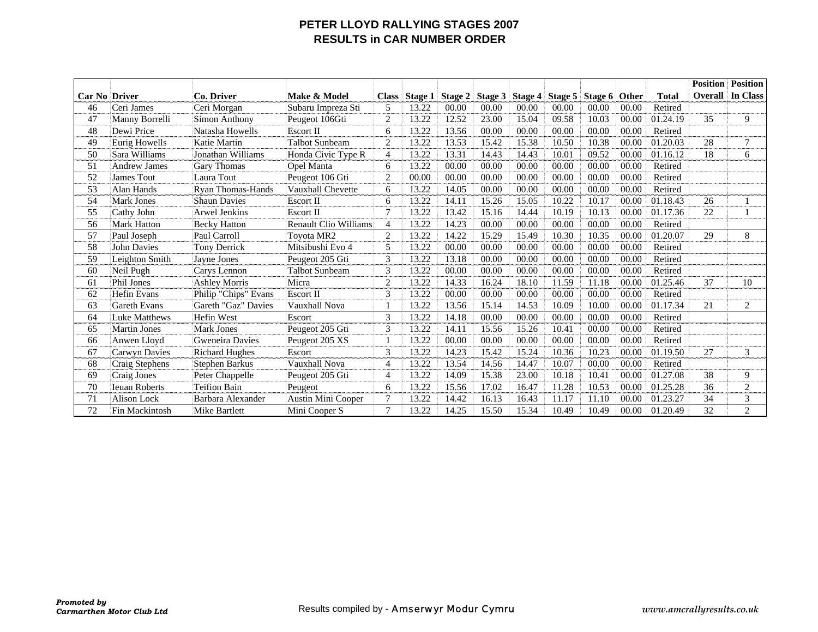### **PETER LLOYD RALLYING STAGES 2007 RESULTS in CAR NUMBER ORDER**

|                      |                      |                          |                              |                |         |         |           |         |       |                           |       |              | <b>Position</b> | <b>Position</b> |
|----------------------|----------------------|--------------------------|------------------------------|----------------|---------|---------|-----------|---------|-------|---------------------------|-------|--------------|-----------------|-----------------|
| <b>Car No Driver</b> |                      | Co. Driver               | Make & Model                 | <b>Class</b>   | Stage 1 | Stage 2 | Stage $3$ | Stage 4 |       | Stage 5   Stage 6   Other |       | <b>Total</b> | <b>Overall</b>  | In Class        |
| 46                   | Ceri James           | Ceri Morgan              | Subaru Impreza Sti           | 5              | 13.22   | 00.00   | 00.00     | 00.00   | 00.00 | 00.00                     | 00.00 | Retired      |                 |                 |
| 47                   | Manny Borrelli       | Simon Anthony            | Peugeot 106Gti               | 2              | 13.22   | 12.52   | 23.00     | 15.04   | 09.58 | 10.03                     | 00.00 | 01.24.19     | 35              | 9               |
| 48                   | Dewi Price           | Natasha Howells          | <b>Escort II</b>             | 6              | 13.22   | 13.56   | 00.00     | 00.00   | 00.00 | 00.00                     | 00.00 | Retired      |                 |                 |
| 49                   | Eurig Howells        | Katie Martin             | Talbot Sunbeam               | $\mathbf{2}$   | 13.22   | 13.53   | 15.42     | 15.38   | 10.50 | 10.38                     | 00.00 | 01.20.03     | 28              | $\overline{7}$  |
| 50                   | Sara Williams        | Jonathan Williams        | Honda Civic Type R           | $\overline{4}$ | 13.22   | 13.31   | 14.43     | 14.43   | 10.01 | 09.52                     | 00.00 | 01.16.12     | 18              | 6               |
| 51                   | <b>Andrew James</b>  | Gary Thomas              | Opel Manta                   | 6              | 13.22   | 00.00   | 00.00     | 00.00   | 00.00 | 00.00                     | 00.00 | Retired      |                 |                 |
| 52                   | <b>James Tout</b>    | Laura Tout               | Peugeot 106 Gti              | $\mathbf{2}$   | 00.00   | 00.00   | 00.00     | 00.00   | 00.00 | 00.00                     | 00.00 | Retired      |                 |                 |
| 53                   | Alan Hands           | <b>Ryan Thomas-Hands</b> | Vauxhall Chevette            | 6              | 13.22   | 14.05   | 00.00     | 00.00   | 00.00 | 00.00                     | 00.00 | Retired      |                 |                 |
| 54                   | <b>Mark Jones</b>    | <b>Shaun Davies</b>      | Escort II                    | 6              | 13.22   | 14.11   | 15.26     | 15.05   | 10.22 | 10.17                     | 00.00 | 01.18.43     | 26              |                 |
| 55                   | Cathy John           | Arwel Jenkins            | Escort II                    | $\overline{7}$ | 13.22   | 13.42   | 15.16     | 14.44   | 10.19 | 10.13                     | 00.00 | 01.17.36     | 22              |                 |
| 56                   | Mark Hatton          | <b>Becky Hatton</b>      | <b>Renault Clio Williams</b> | $\overline{4}$ | 13.22   | 14.23   | 00.00     | 00.00   | 00.00 | 00.00                     | 00.00 | Retired      |                 |                 |
| 57                   | Paul Joseph          | Paul Carroll             | Toyota MR2                   | 2              | 13.22   | 14.22   | 15.29     | 15.49   | 10.30 | 10.35                     | 00.00 | 01.20.07     | 29              | 8               |
| 58                   | <b>John Davies</b>   | <b>Tony Derrick</b>      | Mitsibushi Evo 4             | 5              | 13.22   | 00.00   | 00.00     | 00.00   | 00.00 | 00.00                     | 00.00 | Retired      |                 |                 |
| 59                   | Leighton Smith       | Jayne Jones              | Peugeot 205 Gti              | 3              | 13.22   | 13.18   | 00.00     | 00.00   | 00.00 | 00.00                     | 00.00 | Retired      |                 |                 |
| 60                   | Neil Pugh            | Carys Lennon             | <b>Talbot Sunbeam</b>        | 3              | 13.22   | 00.00   | 00.00     | 00.00   | 00.00 | 00.00                     | 00.00 | Retired      |                 |                 |
| 61                   | Phil Jones           | <b>Ashley Morris</b>     | Micra                        | 2              | 13.22   | 14.33   | 16.24     | 18.10   | 11.59 | 11.18                     | 00.00 | 01.25.46     | 37              | 10              |
| 62                   | <b>Hefin Evans</b>   | Philip "Chips" Evans     | <b>Escort II</b>             | 3              | 13.22   | 00.00   | 00.00     | 00.00   | 00.00 | 00.00                     | 00.00 | Retired      |                 |                 |
| 63                   | <b>Gareth Evans</b>  | Gareth "Gaz" Davies      | Vauxhall Nova                |                | 13.22   | 13.56   | 15.14     | 14.53   | 10.09 | 10.00                     | 00.00 | 01.17.34     | 21              | 2               |
| 64                   | Luke Matthews        | Hefin West               | Escort                       | 3              | 13.22   | 14.18   | 00.00     | 00.00   | 00.00 | 00.00                     | 00.00 | Retired      |                 |                 |
| 65                   | <b>Martin Jones</b>  | <b>Mark Jones</b>        | Peugeot 205 Gti              | 3              | 13.22   | 14.11   | 15.56     | 15.26   | 10.41 | 00.00                     | 00.00 | Retired      |                 |                 |
| 66                   | Anwen Lloyd          | Gweneira Davies          | Peugeot 205 XS               |                | 13.22   | 00.00   | 00.00     | 00.00   | 00.00 | 00.00                     | 00.00 | Retired      |                 |                 |
| 67                   | Carwyn Davies        | <b>Richard Hughes</b>    | Escort                       | 3              | 13.22   | 14.23   | 15.42     | 15.24   | 10.36 | 10.23                     | 00.00 | 01.19.50     | 27              | 3               |
| 68                   | Craig Stephens       | Stephen Barkus           | Vauxhall Nova                | 4              | 13.22   | 13.54   | 14.56     | 14.47   | 10.07 | 00.00                     | 00.00 | Retired      |                 |                 |
| 69                   | Craig Jones          | Peter Chappelle          | Peugeot 205 Gti              | 4              | 13.22   | 14.09   | 15.38     | 23.00   | 10.18 | 10.41                     | 00.00 | 01.27.08     | 38              | 9               |
| 70                   | <b>Ieuan Roberts</b> | <b>Teifion Bain</b>      | Peugeot                      | 6              | 13.22   | 15.56   | 17.02     | 16.47   | 11.28 | 10.53                     | 00.00 | 01.25.28     | 36              | $\overline{c}$  |
| 71                   | <b>Alison Lock</b>   | Barbara Alexander        | <b>Austin Mini Cooper</b>    | $\overline{7}$ | 13.22   | 14.42   | 16.13     | 16.43   | 11.17 | 11.10                     | 00.00 | 01.23.27     | 34              | 3               |
| 72                   | Fin Mackintosh       | <b>Mike Bartlett</b>     | Mini Cooper S                | 7              | 13.22   | 14.25   | 15.50     | 15.34   | 10.49 | 10.49                     | 00.00 | 01.20.49     | 32              | $\overline{2}$  |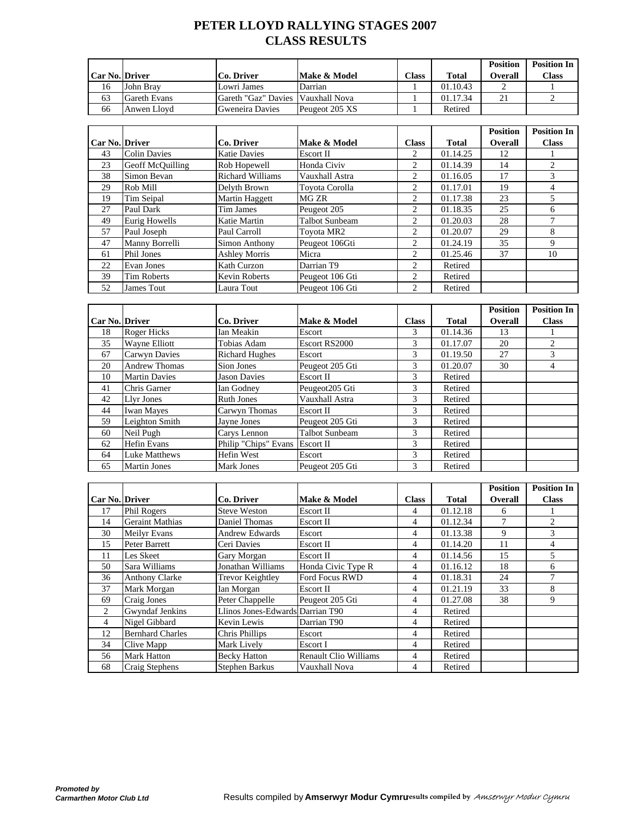# **PETER LLOYD RALLYING STAGES 2007 CLASS RESULTS**

|                  |                     |                                   |                |                |              | <b>Position</b> | <b>Position In</b> |
|------------------|---------------------|-----------------------------------|----------------|----------------|--------------|-----------------|--------------------|
| Car No.   Driver |                     | Co. Driver                        | Make & Model   | $\text{Class}$ | <b>Total</b> | Overall         | <b>Class</b>       |
| 16               | John Brav           | Lowri James                       | Darrian        |                | 01.10.43     |                 |                    |
| 63               | <b>Gareth Evans</b> | Gareth "Gaz" Davies Vauxhall Nova |                |                | 01.17.34     |                 |                    |
| 66               | Anwen Llovd         | Gweneira Davies                   | Peugeot 205 XS |                | Retired      |                 |                    |

|                  |                     |                         |                       |              |              | <b>Position</b> | <b>Position In</b> |
|------------------|---------------------|-------------------------|-----------------------|--------------|--------------|-----------------|--------------------|
| Car No.   Driver |                     | Co. Driver              | Make & Model          | <b>Class</b> | <b>Total</b> | <b>Overall</b>  | <b>Class</b>       |
| 43               | <b>Colin Davies</b> | <b>Katie Davies</b>     | Escort II             | 2            | 01.14.25     | 12              |                    |
| 23               | Geoff McQuilling    | Rob Hopewell            | Honda Civiv           | 2            | 01.14.39     | 14              |                    |
| 38               | Simon Bevan         | <b>Richard Williams</b> | Vauxhall Astra        | 2            | 01.16.05     | 17              | 3                  |
| 29               | Rob Mill            | Delvth Brown            | Tovota Corolla        | 2            | 01.17.01     | 19              | 4                  |
| 19               | Tim Seipal          | Martin Haggett          | MG ZR                 | 2            | 01.17.38     | 23              |                    |
| 27               | Paul Dark           | Tim James               | Peugeot 205           | 2            | 01.18.35     | 25              | 6                  |
| 49               | Eurig Howells       | Katie Martin            | <b>Talbot Sunbeam</b> | 2            | 01.20.03     | 28              |                    |
| 57               | Paul Joseph         | Paul Carroll            | Toyota MR2            | 2            | 01.20.07     | 29              | 8                  |
| 47               | Manny Borrelli      | <b>Simon Anthony</b>    | Peugeot 106Gti        | 2            | 01.24.19     | 35              | 9                  |
| 61               | Phil Jones          | <b>Ashley Morris</b>    | Micra                 | 2            | 01.25.46     | 37              | 10                 |
| 22               | Evan Jones          | Kath Curzon             | Darrian T9            | 2            | Retired      |                 |                    |
| 39               | <b>Tim Roberts</b>  | <b>Kevin Roberts</b>    | Peugeot 106 Gti       | 2            | Retired      |                 |                    |
| 52               | James Tout          | Laura Tout              | Peugeot 106 Gti       | 2            | Retired      |                 |                    |

|                  |                      |                                |                       |               |              | <b>Position</b> | <b>Position In</b> |
|------------------|----------------------|--------------------------------|-----------------------|---------------|--------------|-----------------|--------------------|
| Car No.   Driver |                      | Co. Driver                     | Make & Model          | <b>Class</b>  | <b>Total</b> | <b>Overall</b>  | <b>Class</b>       |
| 18               | Roger Hicks          | Ian Meakin                     | Escort                | 3             | 01.14.36     | 13              |                    |
| 35               | Wayne Elliott        | Tobias Adam                    | Escort RS2000         | 3             | 01.17.07     | 20              |                    |
| 67               | <b>Carwyn Davies</b> | <b>Richard Hughes</b>          | Escort                | 3             | 01.19.50     | 27              |                    |
| 20               | <b>Andrew Thomas</b> | Sion Jones                     | Peugeot 205 Gti       | 3             | 01.20.07     | 30              | 4                  |
| 10               | <b>Martin Davies</b> | <b>Jason Davies</b>            | <b>Escort II</b>      | 3             | Retired      |                 |                    |
| 41               | <b>Chris Garner</b>  | Ian Godney                     | Peugeot205 Gti        | 3             | Retired      |                 |                    |
| 42               | Llyr Jones           | <b>Ruth Jones</b>              | Vauxhall Astra        | 3             | Retired      |                 |                    |
| 44               | <b>Iwan Mayes</b>    | Carwyn Thomas                  | Escort II             | 3             | Retired      |                 |                    |
| 59               | Leighton Smith       | Jayne Jones                    | Peugeot 205 Gti       | 3             | Retired      |                 |                    |
| 60               | Neil Pugh            | Carys Lennon                   | <b>Talbot Sunbeam</b> | 3             | Retired      |                 |                    |
| 62               | <b>Hefin Evans</b>   | Philip "Chips" Evans Escort II |                       | $\mathcal{F}$ | Retired      |                 |                    |
| 64               | <b>Luke Matthews</b> | Hefin West                     | Escort                | 3             | Retired      |                 |                    |
| 65               | <b>Martin Jones</b>  | <b>Mark Jones</b>              | Peugeot 205 Gti       | 3             | Retired      |                 |                    |

|                       |                         |                                  |                              |              |              | <b>Position</b> | <b>Position In</b> |
|-----------------------|-------------------------|----------------------------------|------------------------------|--------------|--------------|-----------------|--------------------|
| <b>Car No. Driver</b> |                         | Co. Driver                       | Make & Model                 | <b>Class</b> | <b>Total</b> | <b>Overall</b>  | <b>Class</b>       |
| 17                    | Phil Rogers             | <b>Steve Weston</b>              | Escort II                    | 4            | 01.12.18     | 6               |                    |
| 14                    | <b>Geraint Mathias</b>  | Daniel Thomas                    | Escort II                    | 4            | 01.12.34     | 7               | 2                  |
| 30                    | <b>Meilyr Evans</b>     | Andrew Edwards                   | Escort                       | 4            | 01.13.38     | 9               | 3                  |
| 15                    | Peter Barrett           | Ceri Davies                      | Escort II                    | 4            | 01.14.20     | 11              | 4                  |
| 11                    | Les Skeet               | Gary Morgan                      | Escort II                    | 4            | 01.14.56     | 15              | 5                  |
| 50                    | Sara Williams           | Jonathan Williams                | Honda Civic Type R           | 4            | 01.16.12     | 18              | 6                  |
| 36                    | <b>Anthony Clarke</b>   | <b>Trevor Keightley</b>          | Ford Focus RWD               | 4            | 01.18.31     | 24              | 7                  |
| 37                    | Mark Morgan             | Ian Morgan                       | Escort II                    | 4            | 01.21.19     | 33              | 8                  |
| 69                    | Craig Jones             | Peter Chappelle                  | Peugeot 205 Gti              | 4            | 01.27.08     | 38              | 9                  |
| 2                     | Gwyndaf Jenkins         | Llinos Jones-Edwards Darrian T90 |                              | 4            | Retired      |                 |                    |
| 4                     | Nigel Gibbard           | Kevin Lewis                      | Darrian T90                  | 4            | Retired      |                 |                    |
| 12                    | <b>Bernhard Charles</b> | Chris Phillips                   | Escort                       | 4            | Retired      |                 |                    |
| 34                    | Clive Mapp              | Mark Lively                      | Escort I                     | 4            | Retired      |                 |                    |
| 56                    | <b>Mark Hatton</b>      | <b>Becky Hatton</b>              | <b>Renault Clio Williams</b> | 4            | Retired      |                 |                    |
| 68                    | Craig Stephens          | Stephen Barkus                   | Vauxhall Nova                | 4            | Retired      |                 |                    |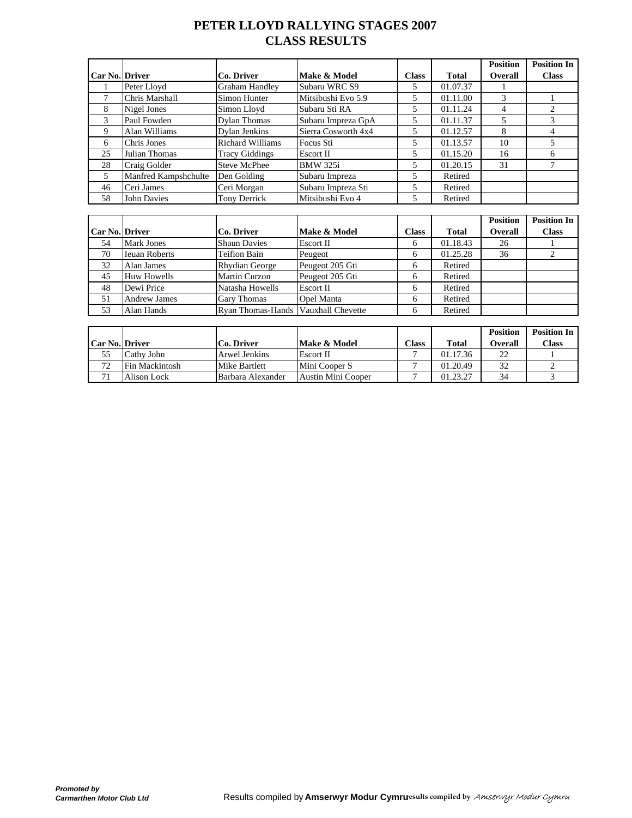# **PETER LLOYD RALLYING STAGES 2007 CLASS RESULTS**

|                       |                      |                         |                     |              |              | <b>Position</b> | <b>Position In</b> |
|-----------------------|----------------------|-------------------------|---------------------|--------------|--------------|-----------------|--------------------|
| <b>Car No. Driver</b> |                      | Co. Driver              | Make & Model        | <b>Class</b> | <b>Total</b> | <b>Overall</b>  | <b>Class</b>       |
|                       | Peter Lloyd          | <b>Graham Handley</b>   | Subaru WRC S9       | 5            | 01.07.37     |                 |                    |
|                       | Chris Marshall       | Simon Hunter            | Mitsibushi Evo 5.9  | 5            | 01.11.00     | 3               |                    |
| 8                     | Nigel Jones          | Simon Lloyd             | Subaru Sti RA       | 5            | 01.11.24     | 4               |                    |
| 3                     | Paul Fowden          | Dylan Thomas            | Subaru Impreza GpA  | 5            | 01.11.37     |                 |                    |
| 9                     | Alan Williams        | Dylan Jenkins           | Sierra Cosworth 4x4 | 5            | 01.12.57     | 8               |                    |
| 6                     | Chris Jones          | <b>Richard Williams</b> | Focus Sti           | 5            | 01.13.57     | 10              |                    |
| 25                    | Julian Thomas        | <b>Tracy Giddings</b>   | Escort II           | 5            | 01.15.20     | 16              | h                  |
| 28                    | Craig Golder         | <b>Steve McPhee</b>     | <b>BMW 325i</b>     | 5            | 01.20.15     | 31              |                    |
| 5                     | Manfred Kampshchulte | Den Golding             | Subaru Impreza      | 5            | Retired      |                 |                    |
| 46                    | Ceri James           | Ceri Morgan             | Subaru Impreza Sti  | 5            | Retired      |                 |                    |
| 58                    | <b>John Davies</b>   | Tony Derrick            | Mitsibushi Evo 4    | 5            | Retired      |                 |                    |

|                  |                      |                                     |                  |              |              | <b>Position</b> | <b>Position In</b> |
|------------------|----------------------|-------------------------------------|------------------|--------------|--------------|-----------------|--------------------|
| Car No.   Driver |                      | Co. Driver                          | Make & Model     | <b>Class</b> | <b>Total</b> | <b>Overall</b>  | <b>Class</b>       |
| 54               | <b>Mark Jones</b>    | <b>Shaun Davies</b>                 | <b>Escort II</b> | 6            | 01.18.43     | 26              |                    |
| 70               | <b>Ieuan Roberts</b> | <b>Teifion Bain</b>                 | Peugeot          | 6            | 01.25.28     | 36              |                    |
| 32               | Alan James           | <b>Rhydian George</b>               | Peugeot 205 Gti  | 6            | Retired      |                 |                    |
| 45               | Huw Howells          | <b>Martin Curzon</b>                | Peugeot 205 Gti  | 6            | Retired      |                 |                    |
| 48               | Dewi Price           | Natasha Howells                     | <b>Escort II</b> | 6            | Retired      |                 |                    |
| 51               | <b>Andrew James</b>  | <b>Gary Thomas</b>                  | Opel Manta       | 6            | Retired      |                 |                    |
| 53               | Alan Hands           | Ryan Thomas-Hands Vauxhall Chevette |                  | 6            | Retired      |                 |                    |

|                       |                |                   |                    |       |          | <b>Position</b> | <b>Position In</b> |
|-----------------------|----------------|-------------------|--------------------|-------|----------|-----------------|--------------------|
| <b>Car No. Driver</b> |                | Co. Driver        | Make & Model       | Class | Total    | Overall         | <b>Class</b>       |
| 55                    | Cathy John     | Arwel Jenkins     | Escort II          |       | 01.17.36 | 22              |                    |
| 72                    | Fin Mackintosh | Mike Bartlett     | Mini Cooper S      |       | 01.20.49 | 32              |                    |
|                       | Alison Lock    | Barbara Alexander | Austin Mini Cooper |       | 01.23.27 | 34              |                    |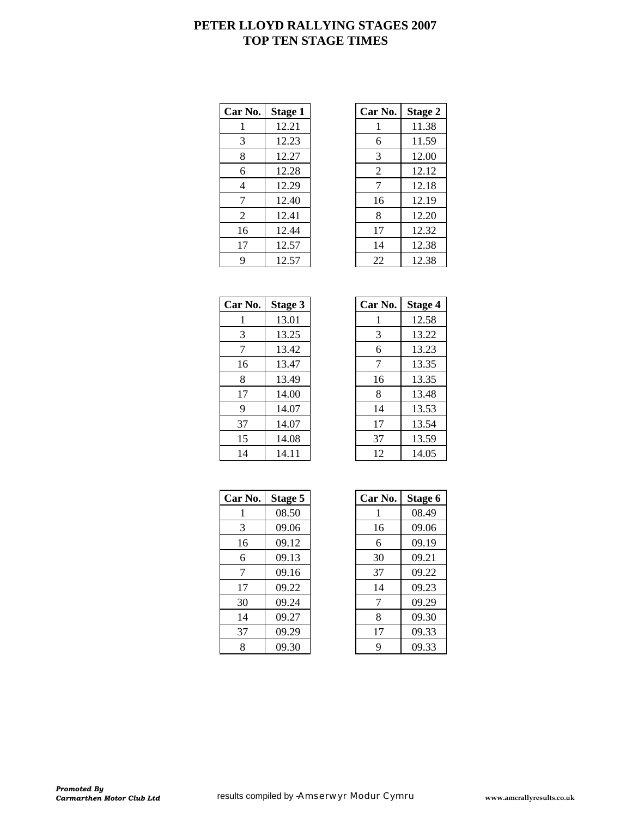### **PETER LLOYD RALLYING STAGES 2007 TOP TEN STAGE TIMES**

| Car No. | Stage 1 | Car No. | <b>Stage 2</b> |
|---------|---------|---------|----------------|
| 1       | 12.21   |         | 11.38          |
| 3       | 12.23   | 6       | 11.59          |
| 8       | 12.27   | 3       | 12.00          |
| 6       | 12.28   | 2       | 12.12          |
| 4       | 12.29   | 7       | 12.18          |
| 7       | 12.40   | 16      | 12.19          |
| 2       | 12.41   | 8       | 12.20          |
| 16      | 12.44   | 17      | 12.32          |
| 17      | 12.57   | 14      | 12.38          |
| 9       | 12.57   | 22      | 12.38          |

| r No.          | <b>Stage 1</b> | Car No.        | <b>Stage 2</b> |
|----------------|----------------|----------------|----------------|
|                | 12.21          |                | 11.38          |
| 3              | 12.23          | 6              | 11.59          |
| 8              | 12.27          | 3              | 12.00          |
| 6              | 12.28          | $\mathfrak{2}$ | 12.12          |
| $\overline{4}$ | 12.29          | 7              | 12.18          |
| 7              | 12.40          | 16             | 12.19          |
| 2              | 12.41          | 8              | 12.20          |
| 16             | 12.44          | 17             | 12.32          |
| 17             | 12.57          | 14             | 12.38          |
| 9              | 12.57          | 22             | 12.38          |

| Car No. | Stage 3 |
|---------|---------|
| 1       | 13.01   |
| 3       | 13.25   |
| 7       | 13.42   |
| 16      | 13.47   |
| 8       | 13.49   |
| 17      | 14.00   |
| 9       | 14.07   |
| 37      | 14.07   |
| 15      | 14.08   |
| 14      | 14.11   |

| Car No. | Stage 3 | Car No. | <b>Stage 4</b> |
|---------|---------|---------|----------------|
| 1       | 13.01   |         | 12.58          |
| 3       | 13.25   | 3       | 13.22          |
| 7       | 13.42   | 6       | 13.23          |
| 16      | 13.47   | 7       | 13.35          |
| 8       | 13.49   | 16      | 13.35          |
| 17      | 14.00   | 8       | 13.48          |
| 9       | 14.07   | 14      | 13.53          |
| 37      | 14.07   | 17      | 13.54          |
| 15      | 14.08   | 37      | 13.59          |
| 14      | 14.11   | 12      | 14.05          |

| Car No. | Stage 5 | Car No. | Stage 6 |
|---------|---------|---------|---------|
|         | 08.50   |         | 08.49   |
| 3       | 09.06   | 16      | 09.06   |
| 16      | 09.12   | 6       | 09.19   |
| 6       | 09.13   | 30      | 09.21   |
| 7       | 09.16   | 37      | 09.22   |
| 17      | 09.22   | 14      | 09.23   |
| 30      | 09.24   | 7       | 09.29   |
| 14      | 09.27   | 8       | 09.30   |
| 37      | 09.29   | 17      | 09.33   |
| 8       | 09.30   | 9       | 09.33   |

| r No. | Stage 5 | Car No. | Stage 6 |
|-------|---------|---------|---------|
| 1     | 08.50   |         | 08.49   |
| 3     | 09.06   | 16      | 09.06   |
| 16    | 09.12   | 6       | 09.19   |
| 6     | 09.13   | 30      | 09.21   |
| 7     | 09.16   | 37      | 09.22   |
| 17    | 09.22   | 14      | 09.23   |
| 30    | 09.24   | 7       | 09.29   |
| 14    | 09.27   | 8       | 09.30   |
| 37    | 09.29   | 17      | 09.33   |
| 8     | 09.30   | 9       | 09.33   |